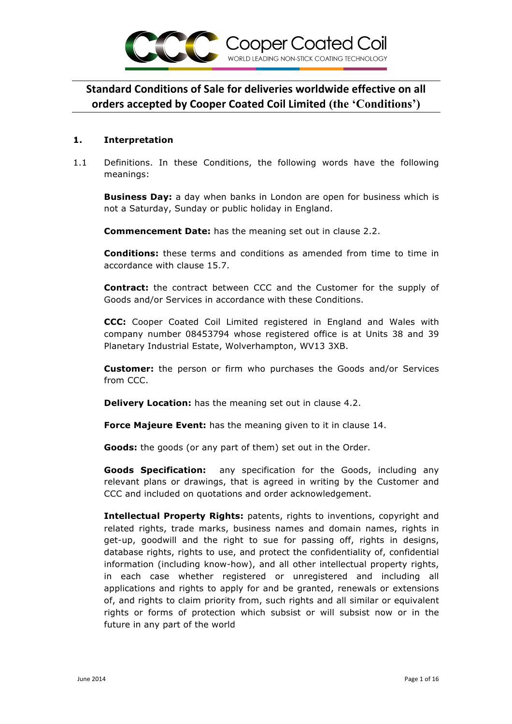

#### **1. Interpretation**

1.1 Definitions. In these Conditions, the following words have the following meanings:

**Business Day:** a day when banks in London are open for business which is not a Saturday, Sunday or public holiday in England.

**Commencement Date:** has the meaning set out in clause 2.2.

**Conditions:** these terms and conditions as amended from time to time in accordance with clause 15.7.

**Contract:** the contract between CCC and the Customer for the supply of Goods and/or Services in accordance with these Conditions.

**CCC:** Cooper Coated Coil Limited registered in England and Wales with company number 08453794 whose registered office is at Units 38 and 39 Planetary Industrial Estate, Wolverhampton, WV13 3XB.

**Customer:** the person or firm who purchases the Goods and/or Services from CCC.

**Delivery Location:** has the meaning set out in clause 4.2.

**Force Majeure Event:** has the meaning given to it in clause 14.

**Goods:** the goods (or any part of them) set out in the Order.

**Goods Specification:** any specification for the Goods, including any relevant plans or drawings, that is agreed in writing by the Customer and CCC and included on quotations and order acknowledgement.

**Intellectual Property Rights:** patents, rights to inventions, copyright and related rights, trade marks, business names and domain names, rights in get-up, goodwill and the right to sue for passing off, rights in designs, database rights, rights to use, and protect the confidentiality of, confidential information (including know-how), and all other intellectual property rights, in each case whether registered or unregistered and including all applications and rights to apply for and be granted, renewals or extensions of, and rights to claim priority from, such rights and all similar or equivalent rights or forms of protection which subsist or will subsist now or in the future in any part of the world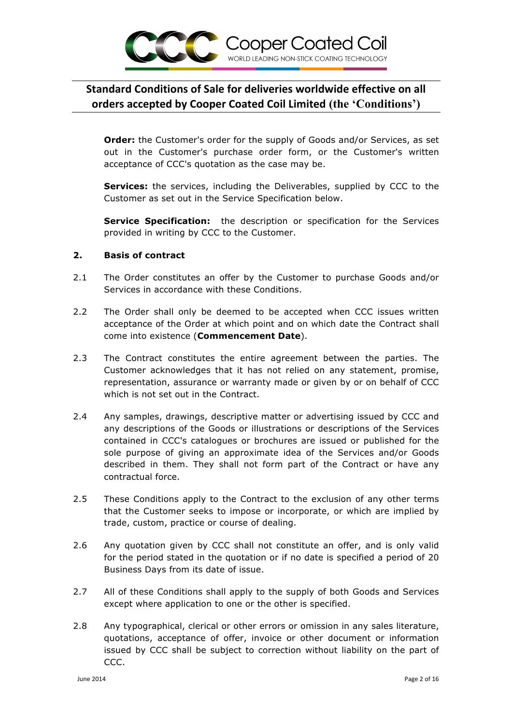

**Order:** the Customer's order for the supply of Goods and/or Services, as set out in the Customer's purchase order form, or the Customer's written acceptance of CCC's quotation as the case may be.

**Services:** the services, including the Deliverables, supplied by CCC to the Customer as set out in the Service Specification below.

**Service Specification:** the description or specification for the Services provided in writing by CCC to the Customer.

#### **2. Basis of contract**

- 2.1 The Order constitutes an offer by the Customer to purchase Goods and/or Services in accordance with these Conditions.
- 2.2 The Order shall only be deemed to be accepted when CCC issues written acceptance of the Order at which point and on which date the Contract shall come into existence (**Commencement Date**).
- 2.3 The Contract constitutes the entire agreement between the parties. The Customer acknowledges that it has not relied on any statement, promise, representation, assurance or warranty made or given by or on behalf of CCC which is not set out in the Contract.
- 2.4 Any samples, drawings, descriptive matter or advertising issued by CCC and any descriptions of the Goods or illustrations or descriptions of the Services contained in CCC's catalogues or brochures are issued or published for the sole purpose of giving an approximate idea of the Services and/or Goods described in them. They shall not form part of the Contract or have any contractual force.
- 2.5 These Conditions apply to the Contract to the exclusion of any other terms that the Customer seeks to impose or incorporate, or which are implied by trade, custom, practice or course of dealing.
- 2.6 Any quotation given by CCC shall not constitute an offer, and is only valid for the period stated in the quotation or if no date is specified a period of 20 Business Days from its date of issue.
- 2.7 All of these Conditions shall apply to the supply of both Goods and Services except where application to one or the other is specified.
- 2.8 Any typographical, clerical or other errors or omission in any sales literature, quotations, acceptance of offer, invoice or other document or information issued by CCC shall be subject to correction without liability on the part of CCC.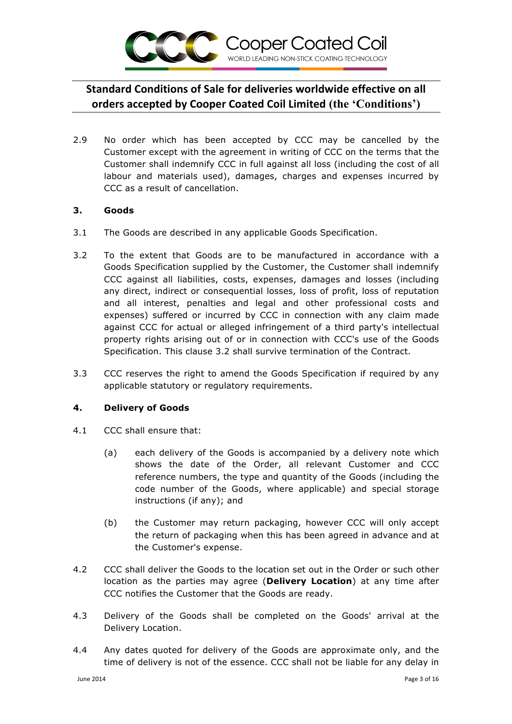

2.9 No order which has been accepted by CCC may be cancelled by the Customer except with the agreement in writing of CCC on the terms that the Customer shall indemnify CCC in full against all loss (including the cost of all labour and materials used), damages, charges and expenses incurred by CCC as a result of cancellation.

## **3. Goods**

- 3.1 The Goods are described in any applicable Goods Specification.
- 3.2 To the extent that Goods are to be manufactured in accordance with a Goods Specification supplied by the Customer, the Customer shall indemnify CCC against all liabilities, costs, expenses, damages and losses (including any direct, indirect or consequential losses, loss of profit, loss of reputation and all interest, penalties and legal and other professional costs and expenses) suffered or incurred by CCC in connection with any claim made against CCC for actual or alleged infringement of a third party's intellectual property rights arising out of or in connection with CCC's use of the Goods Specification. This clause 3.2 shall survive termination of the Contract.
- 3.3 CCC reserves the right to amend the Goods Specification if required by any applicable statutory or regulatory requirements.

## **4. Delivery of Goods**

- 4.1 CCC shall ensure that:
	- (a) each delivery of the Goods is accompanied by a delivery note which shows the date of the Order, all relevant Customer and CCC reference numbers, the type and quantity of the Goods (including the code number of the Goods, where applicable) and special storage instructions (if any); and
	- (b) the Customer may return packaging, however CCC will only accept the return of packaging when this has been agreed in advance and at the Customer's expense.
- 4.2 CCC shall deliver the Goods to the location set out in the Order or such other location as the parties may agree (**Delivery Location**) at any time after CCC notifies the Customer that the Goods are ready.
- 4.3 Delivery of the Goods shall be completed on the Goods' arrival at the Delivery Location.
- 4.4 Any dates quoted for delivery of the Goods are approximate only, and the time of delivery is not of the essence. CCC shall not be liable for any delay in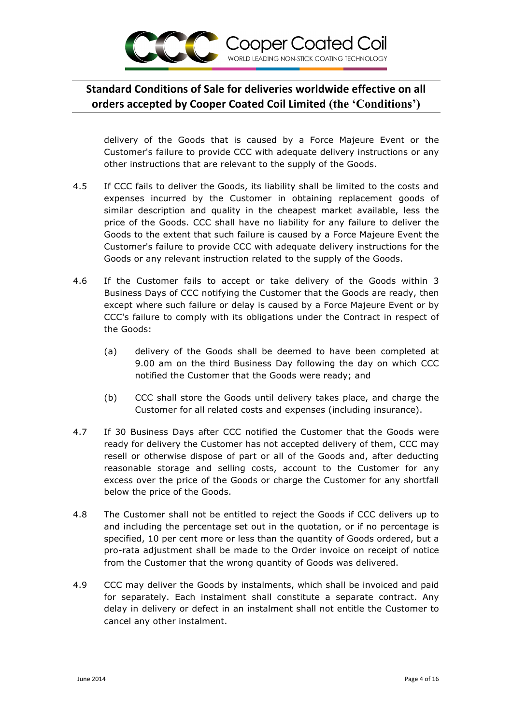

delivery of the Goods that is caused by a Force Majeure Event or the Customer's failure to provide CCC with adequate delivery instructions or any other instructions that are relevant to the supply of the Goods.

- 4.5 If CCC fails to deliver the Goods, its liability shall be limited to the costs and expenses incurred by the Customer in obtaining replacement goods of similar description and quality in the cheapest market available, less the price of the Goods. CCC shall have no liability for any failure to deliver the Goods to the extent that such failure is caused by a Force Majeure Event the Customer's failure to provide CCC with adequate delivery instructions for the Goods or any relevant instruction related to the supply of the Goods.
- 4.6 If the Customer fails to accept or take delivery of the Goods within 3 Business Days of CCC notifying the Customer that the Goods are ready, then except where such failure or delay is caused by a Force Majeure Event or by CCC's failure to comply with its obligations under the Contract in respect of the Goods:
	- (a) delivery of the Goods shall be deemed to have been completed at 9.00 am on the third Business Day following the day on which CCC notified the Customer that the Goods were ready; and
	- (b) CCC shall store the Goods until delivery takes place, and charge the Customer for all related costs and expenses (including insurance).
- 4.7 If 30 Business Days after CCC notified the Customer that the Goods were ready for delivery the Customer has not accepted delivery of them, CCC may resell or otherwise dispose of part or all of the Goods and, after deducting reasonable storage and selling costs, account to the Customer for any excess over the price of the Goods or charge the Customer for any shortfall below the price of the Goods.
- 4.8 The Customer shall not be entitled to reject the Goods if CCC delivers up to and including the percentage set out in the quotation, or if no percentage is specified, 10 per cent more or less than the quantity of Goods ordered, but a pro-rata adjustment shall be made to the Order invoice on receipt of notice from the Customer that the wrong quantity of Goods was delivered.
- 4.9 CCC may deliver the Goods by instalments, which shall be invoiced and paid for separately. Each instalment shall constitute a separate contract. Any delay in delivery or defect in an instalment shall not entitle the Customer to cancel any other instalment.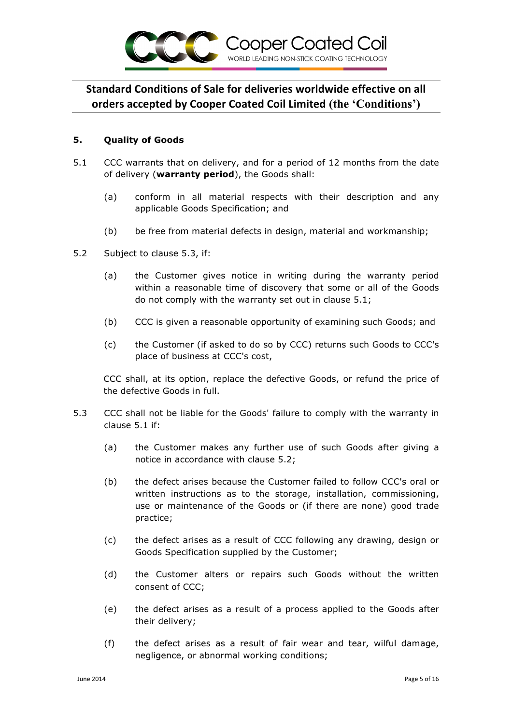

#### **5. Quality of Goods**

- 5.1 CCC warrants that on delivery, and for a period of 12 months from the date of delivery (**warranty period**), the Goods shall:
	- (a) conform in all material respects with their description and any applicable Goods Specification; and
	- (b) be free from material defects in design, material and workmanship;
- 5.2 Subject to clause 5.3, if:
	- (a) the Customer gives notice in writing during the warranty period within a reasonable time of discovery that some or all of the Goods do not comply with the warranty set out in clause 5.1;
	- (b) CCC is given a reasonable opportunity of examining such Goods; and
	- (c) the Customer (if asked to do so by CCC) returns such Goods to CCC's place of business at CCC's cost,

CCC shall, at its option, replace the defective Goods, or refund the price of the defective Goods in full.

- 5.3 CCC shall not be liable for the Goods' failure to comply with the warranty in clause 5.1 if:
	- (a) the Customer makes any further use of such Goods after giving a notice in accordance with clause 5.2;
	- (b) the defect arises because the Customer failed to follow CCC's oral or written instructions as to the storage, installation, commissioning, use or maintenance of the Goods or (if there are none) good trade practice;
	- (c) the defect arises as a result of CCC following any drawing, design or Goods Specification supplied by the Customer;
	- (d) the Customer alters or repairs such Goods without the written consent of CCC;
	- (e) the defect arises as a result of a process applied to the Goods after their delivery;
	- (f) the defect arises as a result of fair wear and tear, wilful damage, negligence, or abnormal working conditions;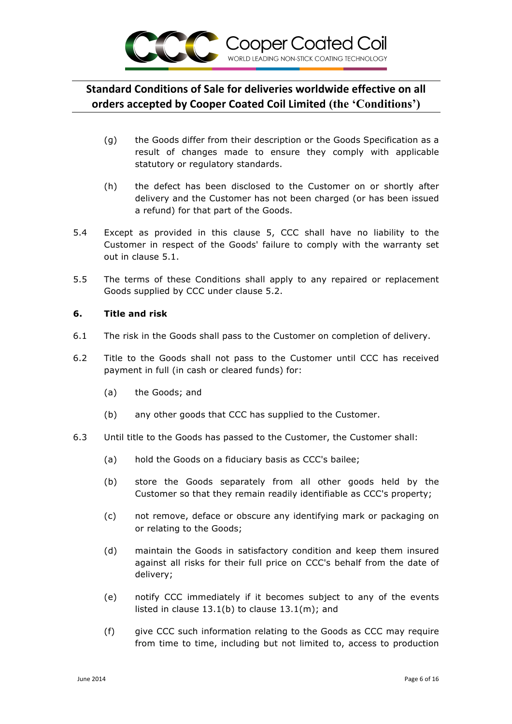

- (g) the Goods differ from their description or the Goods Specification as a result of changes made to ensure they comply with applicable statutory or regulatory standards.
- (h) the defect has been disclosed to the Customer on or shortly after delivery and the Customer has not been charged (or has been issued a refund) for that part of the Goods.
- 5.4 Except as provided in this clause 5, CCC shall have no liability to the Customer in respect of the Goods' failure to comply with the warranty set out in clause 5.1.
- 5.5 The terms of these Conditions shall apply to any repaired or replacement Goods supplied by CCC under clause 5.2.

#### **6. Title and risk**

- 6.1 The risk in the Goods shall pass to the Customer on completion of delivery.
- 6.2 Title to the Goods shall not pass to the Customer until CCC has received payment in full (in cash or cleared funds) for:
	- (a) the Goods; and
	- (b) any other goods that CCC has supplied to the Customer.
- 6.3 Until title to the Goods has passed to the Customer, the Customer shall:
	- (a) hold the Goods on a fiduciary basis as CCC's bailee;
	- (b) store the Goods separately from all other goods held by the Customer so that they remain readily identifiable as CCC's property;
	- (c) not remove, deface or obscure any identifying mark or packaging on or relating to the Goods;
	- (d) maintain the Goods in satisfactory condition and keep them insured against all risks for their full price on CCC's behalf from the date of delivery;
	- (e) notify CCC immediately if it becomes subject to any of the events listed in clause 13.1(b) to clause 13.1(m); and
	- (f) give CCC such information relating to the Goods as CCC may require from time to time, including but not limited to, access to production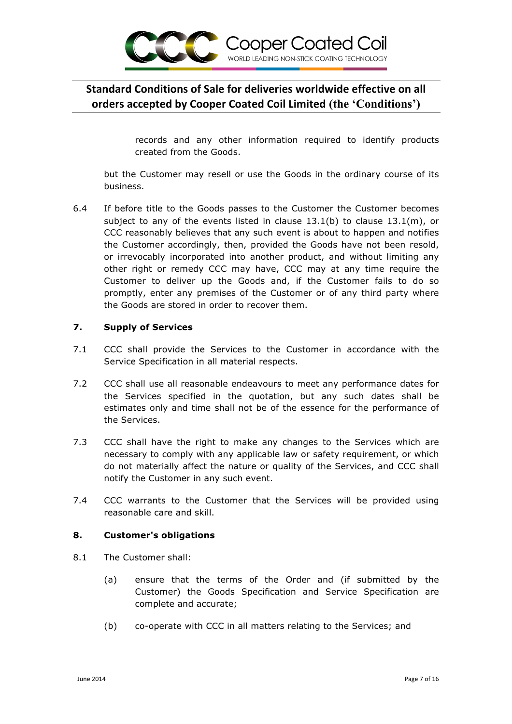

records and any other information required to identify products created from the Goods.

but the Customer may resell or use the Goods in the ordinary course of its business.

6.4 If before title to the Goods passes to the Customer the Customer becomes subject to any of the events listed in clause 13.1(b) to clause 13.1(m), or CCC reasonably believes that any such event is about to happen and notifies the Customer accordingly, then, provided the Goods have not been resold, or irrevocably incorporated into another product, and without limiting any other right or remedy CCC may have, CCC may at any time require the Customer to deliver up the Goods and, if the Customer fails to do so promptly, enter any premises of the Customer or of any third party where the Goods are stored in order to recover them.

#### **7. Supply of Services**

- 7.1 CCC shall provide the Services to the Customer in accordance with the Service Specification in all material respects.
- 7.2 CCC shall use all reasonable endeavours to meet any performance dates for the Services specified in the quotation, but any such dates shall be estimates only and time shall not be of the essence for the performance of the Services.
- 7.3 CCC shall have the right to make any changes to the Services which are necessary to comply with any applicable law or safety requirement, or which do not materially affect the nature or quality of the Services, and CCC shall notify the Customer in any such event.
- 7.4 CCC warrants to the Customer that the Services will be provided using reasonable care and skill.

#### **8. Customer's obligations**

- 8.1 The Customer shall:
	- (a) ensure that the terms of the Order and (if submitted by the Customer) the Goods Specification and Service Specification are complete and accurate;
	- (b) co-operate with CCC in all matters relating to the Services; and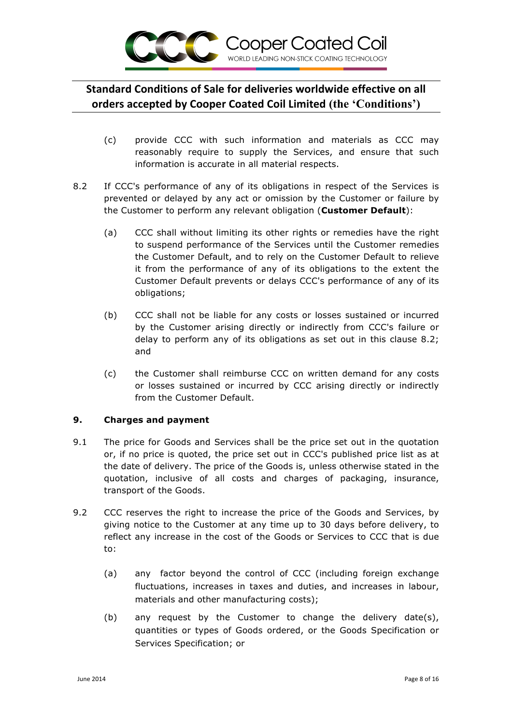

- (c) provide CCC with such information and materials as CCC may reasonably require to supply the Services, and ensure that such information is accurate in all material respects.
- 8.2 If CCC's performance of any of its obligations in respect of the Services is prevented or delayed by any act or omission by the Customer or failure by the Customer to perform any relevant obligation (**Customer Default**):
	- (a) CCC shall without limiting its other rights or remedies have the right to suspend performance of the Services until the Customer remedies the Customer Default, and to rely on the Customer Default to relieve it from the performance of any of its obligations to the extent the Customer Default prevents or delays CCC's performance of any of its obligations;
	- (b) CCC shall not be liable for any costs or losses sustained or incurred by the Customer arising directly or indirectly from CCC's failure or delay to perform any of its obligations as set out in this clause 8.2; and
	- (c) the Customer shall reimburse CCC on written demand for any costs or losses sustained or incurred by CCC arising directly or indirectly from the Customer Default.

## **9. Charges and payment**

- 9.1 The price for Goods and Services shall be the price set out in the quotation or, if no price is quoted, the price set out in CCC's published price list as at the date of delivery. The price of the Goods is, unless otherwise stated in the quotation, inclusive of all costs and charges of packaging, insurance, transport of the Goods.
- 9.2 CCC reserves the right to increase the price of the Goods and Services, by giving notice to the Customer at any time up to 30 days before delivery, to reflect any increase in the cost of the Goods or Services to CCC that is due to:
	- (a) any factor beyond the control of CCC (including foreign exchange fluctuations, increases in taxes and duties, and increases in labour, materials and other manufacturing costs);
	- (b) any request by the Customer to change the delivery date(s), quantities or types of Goods ordered, or the Goods Specification or Services Specification; or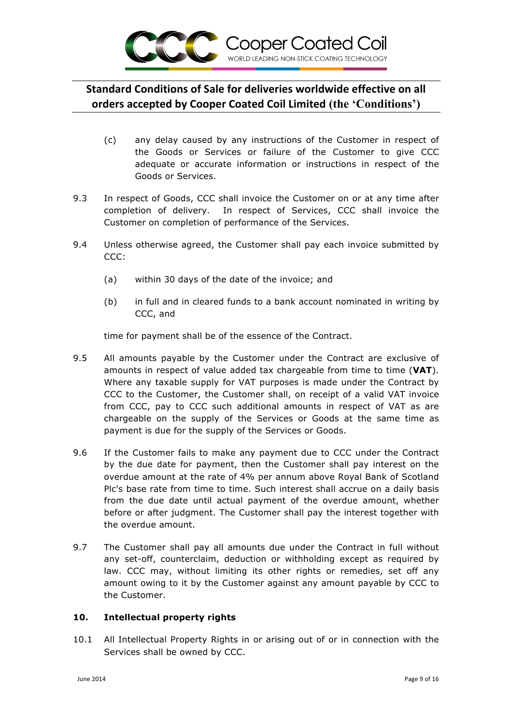

- (c) any delay caused by any instructions of the Customer in respect of the Goods or Services or failure of the Customer to give CCC adequate or accurate information or instructions in respect of the Goods or Services.
- 9.3 In respect of Goods, CCC shall invoice the Customer on or at any time after completion of delivery. In respect of Services, CCC shall invoice the Customer on completion of performance of the Services.
- 9.4 Unless otherwise agreed, the Customer shall pay each invoice submitted by CCC:
	- (a) within 30 days of the date of the invoice; and
	- (b) in full and in cleared funds to a bank account nominated in writing by CCC, and

time for payment shall be of the essence of the Contract.

- 9.5 All amounts payable by the Customer under the Contract are exclusive of amounts in respect of value added tax chargeable from time to time (**VAT**). Where any taxable supply for VAT purposes is made under the Contract by CCC to the Customer, the Customer shall, on receipt of a valid VAT invoice from CCC, pay to CCC such additional amounts in respect of VAT as are chargeable on the supply of the Services or Goods at the same time as payment is due for the supply of the Services or Goods.
- 9.6 If the Customer fails to make any payment due to CCC under the Contract by the due date for payment, then the Customer shall pay interest on the overdue amount at the rate of 4% per annum above Royal Bank of Scotland Plc's base rate from time to time. Such interest shall accrue on a daily basis from the due date until actual payment of the overdue amount, whether before or after judgment. The Customer shall pay the interest together with the overdue amount.
- 9.7 The Customer shall pay all amounts due under the Contract in full without any set-off, counterclaim, deduction or withholding except as required by law. CCC may, without limiting its other rights or remedies, set off any amount owing to it by the Customer against any amount payable by CCC to the Customer.

## **10. Intellectual property rights**

10.1 All Intellectual Property Rights in or arising out of or in connection with the Services shall be owned by CCC.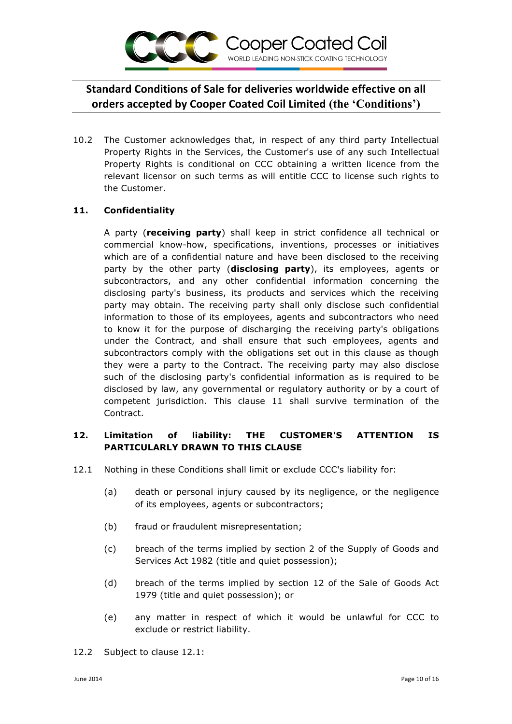

10.2 The Customer acknowledges that, in respect of any third party Intellectual Property Rights in the Services, the Customer's use of any such Intellectual Property Rights is conditional on CCC obtaining a written licence from the relevant licensor on such terms as will entitle CCC to license such rights to the Customer.

## **11. Confidentiality**

A party (**receiving party**) shall keep in strict confidence all technical or commercial know-how, specifications, inventions, processes or initiatives which are of a confidential nature and have been disclosed to the receiving party by the other party (**disclosing party**), its employees, agents or subcontractors, and any other confidential information concerning the disclosing party's business, its products and services which the receiving party may obtain. The receiving party shall only disclose such confidential information to those of its employees, agents and subcontractors who need to know it for the purpose of discharging the receiving party's obligations under the Contract, and shall ensure that such employees, agents and subcontractors comply with the obligations set out in this clause as though they were a party to the Contract. The receiving party may also disclose such of the disclosing party's confidential information as is required to be disclosed by law, any governmental or regulatory authority or by a court of competent jurisdiction. This clause 11 shall survive termination of the Contract.

## **12. Limitation of liability: THE CUSTOMER'S ATTENTION IS PARTICULARLY DRAWN TO THIS CLAUSE**

- 12.1 Nothing in these Conditions shall limit or exclude CCC's liability for:
	- (a) death or personal injury caused by its negligence, or the negligence of its employees, agents or subcontractors;
	- (b) fraud or fraudulent misrepresentation;
	- (c) breach of the terms implied by section 2 of the Supply of Goods and Services Act 1982 (title and quiet possession);
	- (d) breach of the terms implied by section 12 of the Sale of Goods Act 1979 (title and quiet possession); or
	- (e) any matter in respect of which it would be unlawful for CCC to exclude or restrict liability.

12.2 Subject to clause 12.1: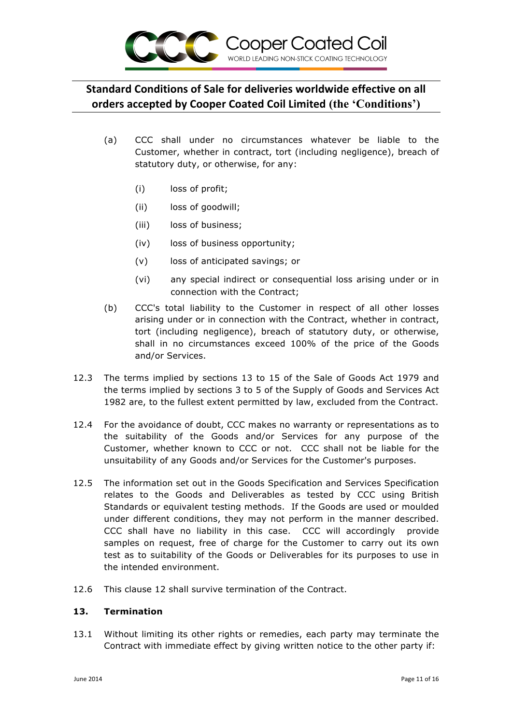

- (a) CCC shall under no circumstances whatever be liable to the Customer, whether in contract, tort (including negligence), breach of statutory duty, or otherwise, for any:
	- (i) loss of profit;
	- (ii) loss of goodwill;
	- (iii) loss of business;
	- (iv) loss of business opportunity;
	- (v) loss of anticipated savings; or
	- (vi) any special indirect or consequential loss arising under or in connection with the Contract;
- (b) CCC's total liability to the Customer in respect of all other losses arising under or in connection with the Contract, whether in contract, tort (including negligence), breach of statutory duty, or otherwise, shall in no circumstances exceed 100% of the price of the Goods and/or Services.
- 12.3 The terms implied by sections 13 to 15 of the Sale of Goods Act 1979 and the terms implied by sections 3 to 5 of the Supply of Goods and Services Act 1982 are, to the fullest extent permitted by law, excluded from the Contract.
- 12.4 For the avoidance of doubt, CCC makes no warranty or representations as to the suitability of the Goods and/or Services for any purpose of the Customer, whether known to CCC or not. CCC shall not be liable for the unsuitability of any Goods and/or Services for the Customer's purposes.
- 12.5 The information set out in the Goods Specification and Services Specification relates to the Goods and Deliverables as tested by CCC using British Standards or equivalent testing methods. If the Goods are used or moulded under different conditions, they may not perform in the manner described. CCC shall have no liability in this case. CCC will accordingly provide samples on request, free of charge for the Customer to carry out its own test as to suitability of the Goods or Deliverables for its purposes to use in the intended environment.
- 12.6 This clause 12 shall survive termination of the Contract.

## **13. Termination**

13.1 Without limiting its other rights or remedies, each party may terminate the Contract with immediate effect by giving written notice to the other party if: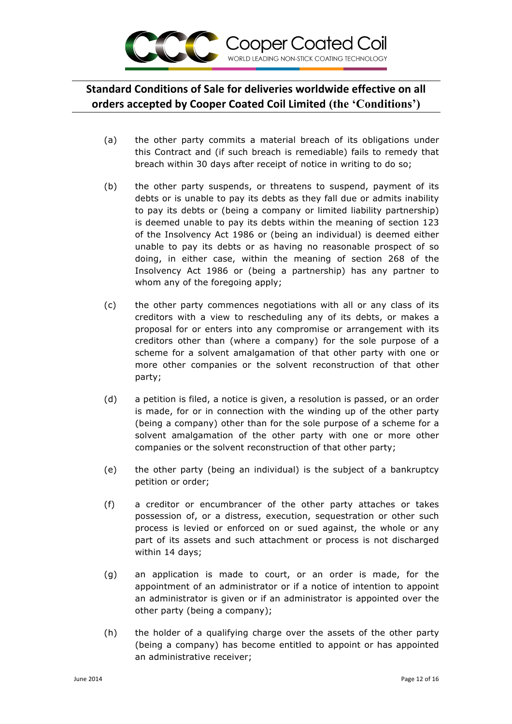

- (a) the other party commits a material breach of its obligations under this Contract and (if such breach is remediable) fails to remedy that breach within 30 days after receipt of notice in writing to do so;
- (b) the other party suspends, or threatens to suspend, payment of its debts or is unable to pay its debts as they fall due or admits inability to pay its debts or (being a company or limited liability partnership) is deemed unable to pay its debts within the meaning of section 123 of the Insolvency Act 1986 or (being an individual) is deemed either unable to pay its debts or as having no reasonable prospect of so doing, in either case, within the meaning of section 268 of the Insolvency Act 1986 or (being a partnership) has any partner to whom any of the foregoing apply;
- (c) the other party commences negotiations with all or any class of its creditors with a view to rescheduling any of its debts, or makes a proposal for or enters into any compromise or arrangement with its creditors other than (where a company) for the sole purpose of a scheme for a solvent amalgamation of that other party with one or more other companies or the solvent reconstruction of that other party;
- (d) a petition is filed, a notice is given, a resolution is passed, or an order is made, for or in connection with the winding up of the other party (being a company) other than for the sole purpose of a scheme for a solvent amalgamation of the other party with one or more other companies or the solvent reconstruction of that other party;
- (e) the other party (being an individual) is the subject of a bankruptcy petition or order;
- (f) a creditor or encumbrancer of the other party attaches or takes possession of, or a distress, execution, sequestration or other such process is levied or enforced on or sued against, the whole or any part of its assets and such attachment or process is not discharged within 14 days;
- (g) an application is made to court, or an order is made, for the appointment of an administrator or if a notice of intention to appoint an administrator is given or if an administrator is appointed over the other party (being a company);
- (h) the holder of a qualifying charge over the assets of the other party (being a company) has become entitled to appoint or has appointed an administrative receiver;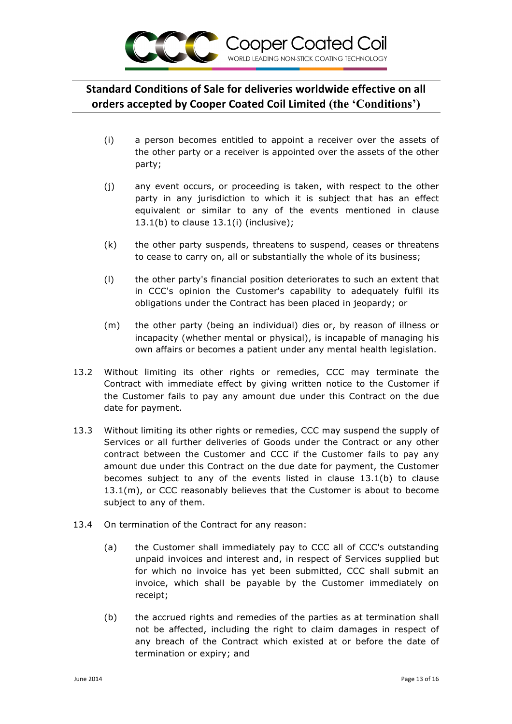

- (i) a person becomes entitled to appoint a receiver over the assets of the other party or a receiver is appointed over the assets of the other party;
- (j) any event occurs, or proceeding is taken, with respect to the other party in any jurisdiction to which it is subject that has an effect equivalent or similar to any of the events mentioned in clause  $13.1(b)$  to clause  $13.1(i)$  (inclusive);
- (k) the other party suspends, threatens to suspend, ceases or threatens to cease to carry on, all or substantially the whole of its business;
- (l) the other party's financial position deteriorates to such an extent that in CCC's opinion the Customer's capability to adequately fulfil its obligations under the Contract has been placed in jeopardy; or
- (m) the other party (being an individual) dies or, by reason of illness or incapacity (whether mental or physical), is incapable of managing his own affairs or becomes a patient under any mental health legislation.
- 13.2 Without limiting its other rights or remedies, CCC may terminate the Contract with immediate effect by giving written notice to the Customer if the Customer fails to pay any amount due under this Contract on the due date for payment.
- 13.3 Without limiting its other rights or remedies, CCC may suspend the supply of Services or all further deliveries of Goods under the Contract or any other contract between the Customer and CCC if the Customer fails to pay any amount due under this Contract on the due date for payment, the Customer becomes subject to any of the events listed in clause 13.1(b) to clause 13.1(m), or CCC reasonably believes that the Customer is about to become subject to any of them.
- 13.4 On termination of the Contract for any reason:
	- (a) the Customer shall immediately pay to CCC all of CCC's outstanding unpaid invoices and interest and, in respect of Services supplied but for which no invoice has yet been submitted, CCC shall submit an invoice, which shall be payable by the Customer immediately on receipt;
	- (b) the accrued rights and remedies of the parties as at termination shall not be affected, including the right to claim damages in respect of any breach of the Contract which existed at or before the date of termination or expiry; and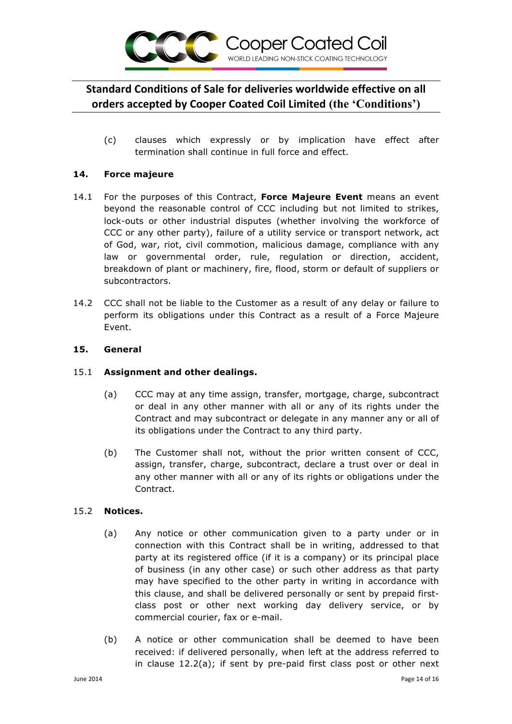

(c) clauses which expressly or by implication have effect after termination shall continue in full force and effect.

#### **14. Force majeure**

- 14.1 For the purposes of this Contract, **Force Majeure Event** means an event beyond the reasonable control of CCC including but not limited to strikes, lock-outs or other industrial disputes (whether involving the workforce of CCC or any other party), failure of a utility service or transport network, act of God, war, riot, civil commotion, malicious damage, compliance with any law or governmental order, rule, regulation or direction, accident, breakdown of plant or machinery, fire, flood, storm or default of suppliers or subcontractors.
- 14.2 CCC shall not be liable to the Customer as a result of any delay or failure to perform its obligations under this Contract as a result of a Force Majeure Event.

#### **15. General**

## 15.1 **Assignment and other dealings.**

- (a) CCC may at any time assign, transfer, mortgage, charge, subcontract or deal in any other manner with all or any of its rights under the Contract and may subcontract or delegate in any manner any or all of its obligations under the Contract to any third party.
- (b) The Customer shall not, without the prior written consent of CCC, assign, transfer, charge, subcontract, declare a trust over or deal in any other manner with all or any of its rights or obligations under the Contract.

#### 15.2 **Notices.**

- (a) Any notice or other communication given to a party under or in connection with this Contract shall be in writing, addressed to that party at its registered office (if it is a company) or its principal place of business (in any other case) or such other address as that party may have specified to the other party in writing in accordance with this clause, and shall be delivered personally or sent by prepaid firstclass post or other next working day delivery service, or by commercial courier, fax or e-mail.
- (b) A notice or other communication shall be deemed to have been received: if delivered personally, when left at the address referred to in clause 12.2(a); if sent by pre-paid first class post or other next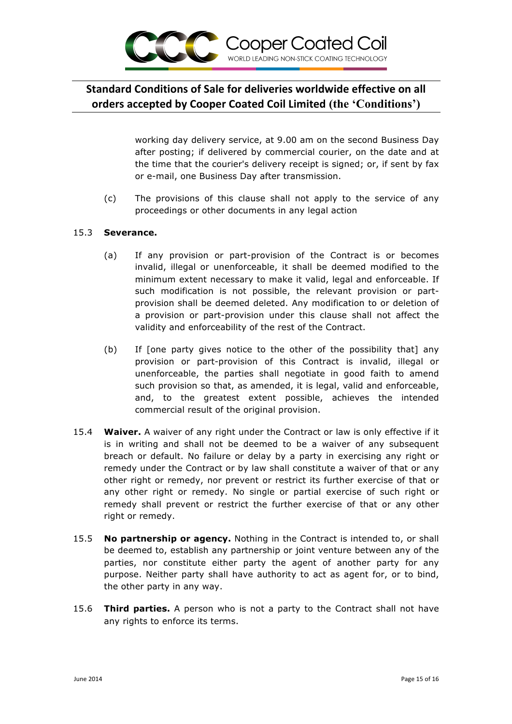

working day delivery service, at 9.00 am on the second Business Day after posting; if delivered by commercial courier, on the date and at the time that the courier's delivery receipt is signed; or, if sent by fax or e-mail, one Business Day after transmission.

(c) The provisions of this clause shall not apply to the service of any proceedings or other documents in any legal action

#### 15.3 **Severance.**

- (a) If any provision or part-provision of the Contract is or becomes invalid, illegal or unenforceable, it shall be deemed modified to the minimum extent necessary to make it valid, legal and enforceable. If such modification is not possible, the relevant provision or partprovision shall be deemed deleted. Any modification to or deletion of a provision or part-provision under this clause shall not affect the validity and enforceability of the rest of the Contract.
- (b) If [one party gives notice to the other of the possibility that] any provision or part-provision of this Contract is invalid, illegal or unenforceable, the parties shall negotiate in good faith to amend such provision so that, as amended, it is legal, valid and enforceable, and, to the greatest extent possible, achieves the intended commercial result of the original provision.
- 15.4 **Waiver.** A waiver of any right under the Contract or law is only effective if it is in writing and shall not be deemed to be a waiver of any subsequent breach or default. No failure or delay by a party in exercising any right or remedy under the Contract or by law shall constitute a waiver of that or any other right or remedy, nor prevent or restrict its further exercise of that or any other right or remedy. No single or partial exercise of such right or remedy shall prevent or restrict the further exercise of that or any other right or remedy.
- 15.5 **No partnership or agency.** Nothing in the Contract is intended to, or shall be deemed to, establish any partnership or joint venture between any of the parties, nor constitute either party the agent of another party for any purpose. Neither party shall have authority to act as agent for, or to bind, the other party in any way.
- 15.6 **Third parties.** A person who is not a party to the Contract shall not have any rights to enforce its terms.